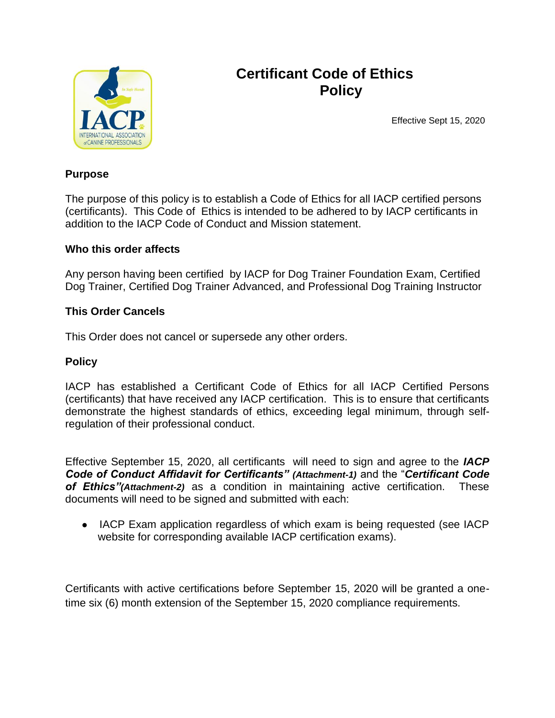

## **Certificant Code of Ethics Policy**

Effective Sept 15, 2020

#### **Purpose**

The purpose of this policy is to establish a Code of Ethics for all IACP certified persons (certificants). This Code of Ethics is intended to be adhered to by IACP certificants in addition to the IACP Code of Conduct and Mission statement.

#### **Who this order affects**

Any person having been certified by IACP for Dog Trainer Foundation Exam, Certified Dog Trainer, Certified Dog Trainer Advanced, and Professional Dog Training Instructor

#### **This Order Cancels**

This Order does not cancel or supersede any other orders.

#### **Policy**

IACP has established a Certificant Code of Ethics for all IACP Certified Persons (certificants) that have received any IACP certification. This is to ensure that certificants demonstrate the highest standards of ethics, exceeding legal minimum, through selfregulation of their professional conduct.

Effective September 15, 2020, all certificants will need to sign and agree to the *IACP Code of Conduct Affidavit for Certificants" (Attachment-1)* and the "*Certificant Code of Ethics"(Attachment-2)* as a condition in maintaining active certification. These documents will need to be signed and submitted with each:

• IACP Exam application regardless of which exam is being requested (see IACP website for corresponding available IACP certification exams).

Certificants with active certifications before September 15, 2020 will be granted a onetime six (6) month extension of the September 15, 2020 compliance requirements.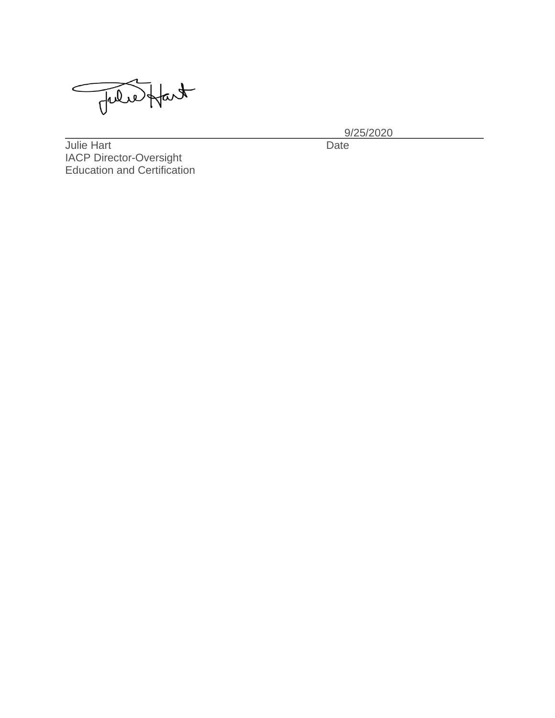Tuledfact

\_\_\_\_\_\_\_\_\_\_\_\_\_\_\_\_\_\_\_\_\_\_\_\_\_\_\_\_\_\_\_\_\_ \_\_\_9/25/2020\_\_\_\_\_\_\_\_\_\_\_\_\_\_\_

Julie Hart IACP Director-Oversight Education and Certification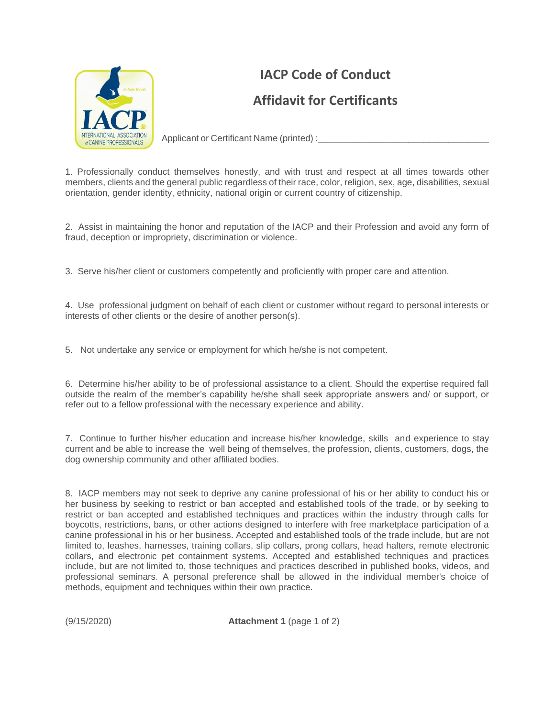

# **IACP Code of Conduct Affidavit for Certificants**

Applicant or Certificant Name (printed) :

1. Professionally conduct themselves honestly, and with trust and respect at all times towards other members, clients and the general public regardless of their race, color, religion, sex, age, disabilities, sexual orientation, gender identity, ethnicity, national origin or current country of citizenship.

2. Assist in maintaining the honor and reputation of the IACP and their Profession and avoid any form of fraud, deception or impropriety, discrimination or violence.

3. Serve his/her client or customers competently and proficiently with proper care and attention.

4. Use professional judgment on behalf of each client or customer without regard to personal interests or interests of other clients or the desire of another person(s).

5. Not undertake any service or employment for which he/she is not competent.

6. Determine his/her ability to be of professional assistance to a client. Should the expertise required fall outside the realm of the member's capability he/she shall seek appropriate answers and/ or support, or refer out to a fellow professional with the necessary experience and ability.

7. Continue to further his/her education and increase his/her knowledge, skills and experience to stay current and be able to increase the well being of themselves, the profession, clients, customers, dogs, the dog ownership community and other affiliated bodies.

8. IACP members may not seek to deprive any canine professional of his or her ability to conduct his or her business by seeking to restrict or ban accepted and established tools of the trade, or by seeking to restrict or ban accepted and established techniques and practices within the industry through calls for boycotts, restrictions, bans, or other actions designed to interfere with free marketplace participation of a canine professional in his or her business. Accepted and established tools of the trade include, but are not limited to, leashes, harnesses, training collars, slip collars, prong collars, head halters, remote electronic collars, and electronic pet containment systems. Accepted and established techniques and practices include, but are not limited to, those techniques and practices described in published books, videos, and professional seminars. A personal preference shall be allowed in the individual member's choice of methods, equipment and techniques within their own practice.

(9/15/2020) **Attachment 1** (page 1 of 2)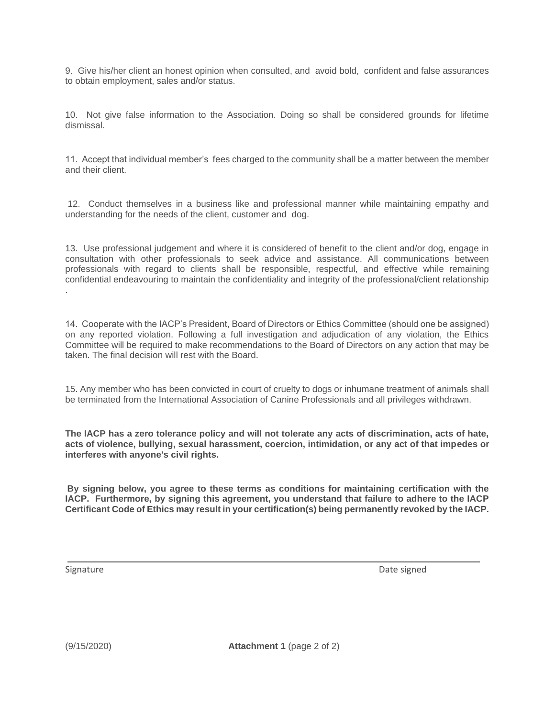9. Give his/her client an honest opinion when consulted, and avoid bold, confident and false assurances to obtain employment, sales and/or status.

10. Not give false information to the Association. Doing so shall be considered grounds for lifetime dismissal.

11. Accept that individual member's fees charged to the community shall be a matter between the member and their client.

12. Conduct themselves in a business like and professional manner while maintaining empathy and understanding for the needs of the client, customer and dog.

13. Use professional judgement and where it is considered of benefit to the client and/or dog, engage in consultation with other professionals to seek advice and assistance. All communications between professionals with regard to clients shall be responsible, respectful, and effective while remaining confidential endeavouring to maintain the confidentiality and integrity of the professional/client relationship .

14. Cooperate with the IACP's President, Board of Directors or Ethics Committee (should one be assigned) on any reported violation. Following a full investigation and adjudication of any violation, the Ethics Committee will be required to make recommendations to the Board of Directors on any action that may be taken. The final decision will rest with the Board.

15. Any member who has been convicted in court of cruelty to dogs or inhumane treatment of animals shall be terminated from the International Association of Canine Professionals and all privileges withdrawn.

**The IACP has a zero tolerance policy and will not tolerate any acts of discrimination, acts of hate, acts of violence, bullying, sexual harassment, coercion, intimidation, or any act of that impedes or interferes with anyone's civil rights.**

**By signing below, you agree to these terms as conditions for maintaining certification with the IACP. Furthermore, by signing this agreement, you understand that failure to adhere to the IACP Certificant Code of Ethics may result in your certification(s) being permanently revoked by the IACP.**

\_\_\_\_\_\_\_\_\_\_\_\_\_\_\_\_\_\_\_\_\_\_\_\_\_\_\_\_\_\_\_\_\_\_\_\_\_\_\_\_\_\_\_\_\_\_\_\_\_\_\_\_\_\_\_\_\_\_\_\_\_\_\_\_\_\_\_\_\_\_\_\_\_\_\_\_\_\_\_\_\_\_\_

Signature Date signed Date signed Date signed Date signed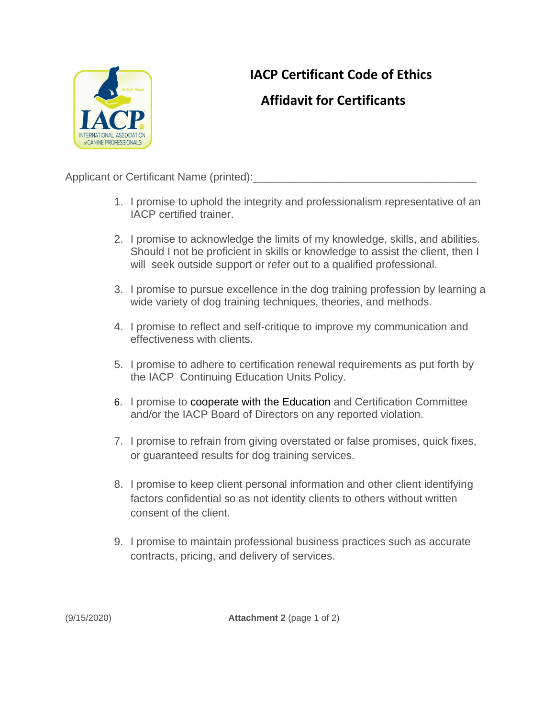

## **IACP Certificant Code of Ethics**

### **Affidavit for Certificants**

Applicant or Certificant Name (printed):

- 1. I promise to uphold the integrity and professionalism representative of an IACP certified trainer.
- 2. I promise to acknowledge the limits of my knowledge, skills, and abilities. Should I not be proficient in skills or knowledge to assist the client, then I will seek outside support or refer out to a qualified professional.
- 3. I promise to pursue excellence in the dog training profession by learning a wide variety of dog training techniques, theories, and methods.
- 4. I promise to reflect and self-critique to improve my communication and effectiveness with clients.
- 5. I promise to adhere to certification renewal requirements as put forth by the IACP Continuing Education Units Policy.
- 6. I promise to cooperate with the Education and Certification Committee and/or the IACP Board of Directors on any reported violation.
- 7. I promise to refrain from giving overstated or false promises, quick fixes, or guaranteed results for dog training services.
- 8. I promise to keep client personal information and other client identifying factors confidential so as not identity clients to others without written consent of the client.
- 9. I promise to maintain professional business practices such as accurate contracts, pricing, and delivery of services.